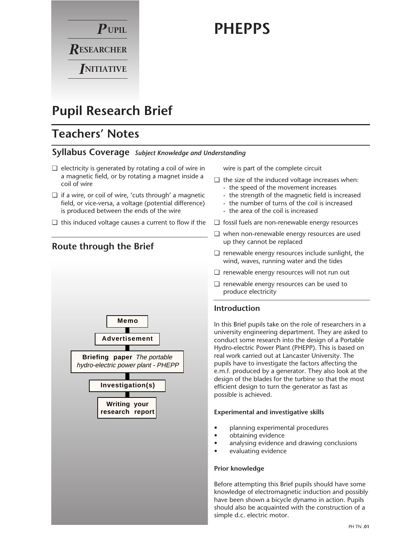

# **PHEPPS**

# **Pupil Research Brief**

# **Teachers' Notes**

## **Syllabus Coverage** *Subject Knowledge and Understanding*

- ❏ electricity is generated by rotating a coil of wire in a magnetic field, or by rotating a magnet inside a coil of wire
- ❏ if a wire, or coil of wire, 'cuts through' a magnetic field, or vice-versa, a voltage (potential difference) is produced between the ends of the wire
- ❏ this induced voltage causes a current to flow if the



wire is part of the complete circuit

- ❏ the size of the induced voltage increases when: - the speed of the movement increases
	- the strength of the magnetic field is increased
	- the number of turns of the coil is increased
	- the area of the coil is increased
- ❏ fossil fuels are non-renewable energy resources
- ❏ when non-renewable energy resources are used up they cannot be replaced
- ❏ renewable energy resources include sunlight, the wind, waves, running water and the tides
- ❏ renewable energy resources will not run out
- ❏ renewable energy resources can be used to produce electricity

### **Introduction**

In this Brief pupils take on the role of researchers in a university engineering department. They are asked to conduct some research into the design of a Portable Hydro-electric Power Plant (PHEPP). This is based on real work carried out at Lancaster University. The pupils have to investigate the factors affecting the e.m.f. produced by a generator. They also look at the design of the blades for the turbine so that the most efficient design to turn the generator as fast as possible is achieved.

#### **Experimental and investigative skills**

- planning experimental procedures
- obtaining evidence
- analysing evidence and drawing conclusions
- evaluating evidence

#### **Prior knowledge**

Before attempting this Brief pupils should have some knowledge of electromagnetic induction and possibly have been shown a bicycle dynamo in action. Pupils should also be acquainted with the construction of a simple d.c. electric motor.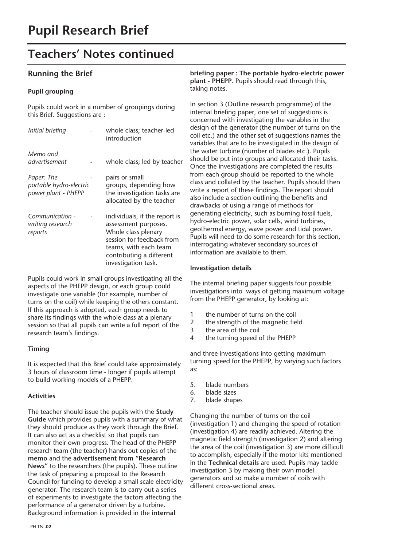# **Teachers' Notes continued**

### **Running the Brief**

#### **Pupil grouping**

Pupils could work in a number of groupings during this Brief. Suggestions are :

| Initial briefing                                             | whole class; teacher-led<br>introduction                                                                                                                                              |
|--------------------------------------------------------------|---------------------------------------------------------------------------------------------------------------------------------------------------------------------------------------|
| Memo and<br>advertisement                                    | whole class; led by teacher                                                                                                                                                           |
| Paper: The<br>portable hydro-electric<br>power plant - PHEPP | pairs or small<br>groups, depending how<br>the investigation tasks are<br>allocated by the teacher                                                                                    |
| Communication -<br>writing research<br>reports               | individuals, if the report is<br>assessment purposes.<br>Whole class plenary<br>session for feedback from<br>teams, with each team<br>contributing a different<br>investigation task. |

Pupils could work in small groups investigating all the aspects of the PHEPP design, or each group could investigate one variable (for example, number of turns on the coil) while keeping the others constant. If this approach is adopted, each group needs to share its findings with the whole class at a plenary session so that all pupils can write a full report of the research team's findings.

#### **Timing**

It is expected that this Brief could take approximately 3 hours of classroom time - longer if pupils attempt to build working models of a PHEPP.

#### **Activities**

The teacher should issue the pupils with the **Study Guide** which provides pupils with a summary of what they should produce as they work through the Brief. It can also act as a checklist so that pupils can monitor their own progress. The head of the PHEPP research team (the teacher) hands out copies of the **memo** and the **advertisement from "Research News"** to the researchers (the pupils). These outline the task of preparing a proposal to the Research Council for funding to develop a small scale electricity generator. The research team is to carry out a series of experiments to investigate the factors affecting the performance of a generator driven by a turbine. Background information is provided in the **internal**

**briefing paper : The portable hydro-electric power plant - PHEPP**. Pupils should read through this, taking notes.

In section 3 (Outline research programme) of the internal briefing paper, one set of suggestions is concerned with investigating the variables in the design of the generator (the number of turns on the coil etc.) and the other set of suggestions names the variables that are to be investigated in the design of the water turbine (number of blades etc.). Pupils should be put into groups and allocated their tasks. Once the investigations are completed the results from each group should be reported to the whole class and collated by the teacher. Pupils should then write a report of these findings. The report should also include a section outlining the benefits and drawbacks of using a range of methods for generating electricity, such as burning fossil fuels, hydro-electric power, solar cells, wind turbines, geothermal energy, wave power and tidal power. Pupils will need to do some research for this section, interrogating whatever secondary sources of information are available to them.

#### **Investigation details**

The internal briefing paper suggests four possible investigations into ways of getting maximum voltage from the PHEPP generator, by looking at:

- 1 the number of turns on the coil
- 2 the strength of the magnetic field
- 3 the area of the coil
- 4 the turning speed of the PHEPP

and three investigations into getting maximum turning speed for the PHEPP, by varying such factors as:

- 5. blade numbers
- 6. blade sizes
- 7. blade shapes

Changing the number of turns on the coil (investigation 1) and changing the speed of rotation (investigation 4) are readily achieved. Altering the magnetic field strength (investigation 2) and altering the area of the coil (investigation 3) are more difficult to accomplish, especially if the motor kits mentioned in the **Technical details** are used. Pupils may tackle investigation 3 by making their own model generators and so make a number of coils with different cross-sectional areas.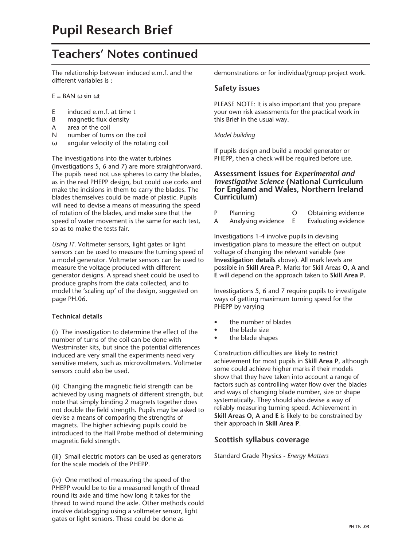# **Teachers' Notes continued**

The relationship between induced e.m.f. and the different variables is :

 $E =$  BAN  $\omega$  sin  $\omega t$ 

- E induced e.m.f. at time t
- B magnetic flux density
- A area of the coil
- N number of turns on the coil
- ω angular velocity of the rotating coil

The investigations into the water turbines (investigations 5, 6 and 7) are more straightforward. The pupils need not use spheres to carry the blades, as in the real PHEPP design, but could use corks and make the incisions in them to carry the blades. The blades themselves could be made of plastic. Pupils will need to devise a means of measuring the speed of rotation of the blades, and make sure that the speed of water movement is the same for each test, so as to make the tests fair.

*Using IT.* Voltmeter sensors, light gates or light sensors can be used to measure the turning speed of a model generator. Voltmeter sensors can be used to measure the voltage produced with different generator designs. A spread sheet could be used to produce graphs from the data collected, and to model the 'scaling up' of the design, suggested on page PH.06.

#### **Technical details**

(i) The investigation to determine the effect of the number of turns of the coil can be done with Westminster kits, but since the potential differences induced are very small the experiments need very sensitive meters, such as microvoltmeters. Voltmeter sensors could also be used.

(ii) Changing the magnetic field strength can be achieved by using magnets of different strength, but note that simply binding 2 magnets together does not double the field strength. Pupils may be asked to devise a means of comparing the strengths of magnets. The higher achieving pupils could be introduced to the Hall Probe method of determining magnetic field strength.

(iii) Small electric motors can be used as generators for the scale models of the PHEPP.

(iv) One method of measuring the speed of the PHEPP would be to tie a measured length of thread round its axle and time how long it takes for the thread to wind round the axle. Other methods could involve datalogging using a voltmeter sensor, light gates or light sensors. These could be done as

demonstrations or for individual/group project work.

#### **Safety issues**

PLEASE NOTE: It is also important that you prepare your own risk assessments for the practical work in this Brief in the usual way.

#### *Model building*

If pupils design and build a model generator or PHEPP, then a check will be required before use.

#### **Assessment issues for** *Experimental and Investigative Science* **(National Curriculum for England and Wales, Northern Ireland Curriculum)**

| P | Planning           | Obtaining evidence  |
|---|--------------------|---------------------|
| Α | Analysing evidence | Evaluating evidence |

Investigations 1-4 involve pupils in devising investigation plans to measure the effect on output voltage of changing the relevant variable (see **Investigation details** above). All mark levels are possible in **Skill Area P**. Marks for Skill Areas **O, A and E** will depend on the approach taken to **Skill Area P.**

Investigations 5, 6 and 7 require pupils to investigate ways of getting maximum turning speed for the PHEPP by varying

- the number of blades
- the blade size
- the blade shapes

Construction difficulties are likely to restrict achievement for most pupils in **Skill Area P**, although some could achieve higher marks if their models show that they have taken into account a range of factors such as controlling water flow over the blades and ways of changing blade number, size or shape systematically. They should also devise a way of reliably measuring turning speed. Achievement in **Skill Areas O, A and E** is likely to be constrained by their approach in **Skill Area P**.

### **Scottish syllabus coverage**

Standard Grade Physics - *Energy Matters*